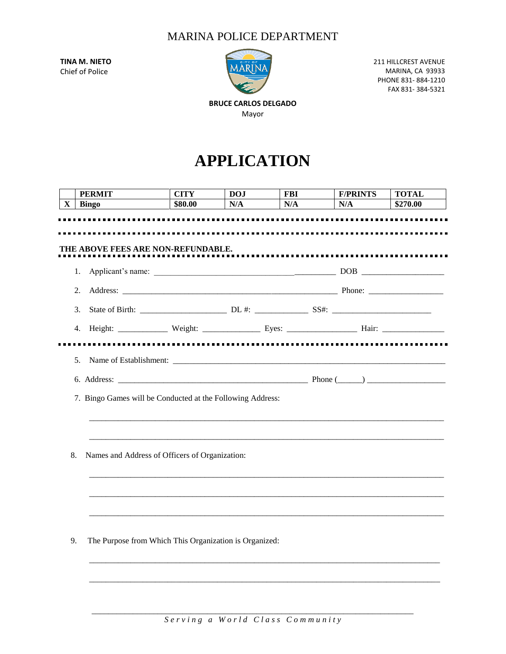## MARINA POLICE DEPARTMENT

**TINA M. NIETO** Chief of Police



211 HILLCREST AVENUE MARINA, CA 93933 PHONE 831- 884-1210 FAX 831- 384-5321

**BRUCE CARLOS DELGADO** Mayor

## **APPLICATION**

|    | <b>PERMIT</b>                                              | <b>CITY</b> | <b>DOJ</b> | <b>FBI</b> | <b>F/PRINTS</b> | <b>TOTAL</b> |  |
|----|------------------------------------------------------------|-------------|------------|------------|-----------------|--------------|--|
| X  | <b>Bingo</b>                                               | \$80.00     | N/A        | N/A        | N/A             | \$270.00     |  |
|    | THE ABOVE FEES ARE NON-REFUNDABLE.                         |             |            |            |                 |              |  |
|    | 1.                                                         |             |            |            |                 |              |  |
| 2. |                                                            |             |            |            |                 |              |  |
|    | 3.                                                         |             |            |            |                 |              |  |
|    |                                                            |             |            |            |                 |              |  |
| 5. | 7. Bingo Games will be Conducted at the Following Address: |             |            |            |                 |              |  |
| 8. | Names and Address of Officers of Organization:             |             |            |            |                 |              |  |
| 9. | The Purpose from Which This Organization is Organized:     |             |            |            |                 |              |  |

\_\_\_\_\_\_\_\_\_\_\_\_\_\_\_\_\_\_\_\_\_\_\_\_\_\_\_\_\_\_\_\_\_\_\_\_\_\_\_\_\_\_\_\_\_\_\_\_\_\_\_\_\_\_\_\_\_\_\_\_\_\_\_\_\_\_\_\_\_\_\_\_\_\_\_\_\_\_\_\_\_\_\_\_\_